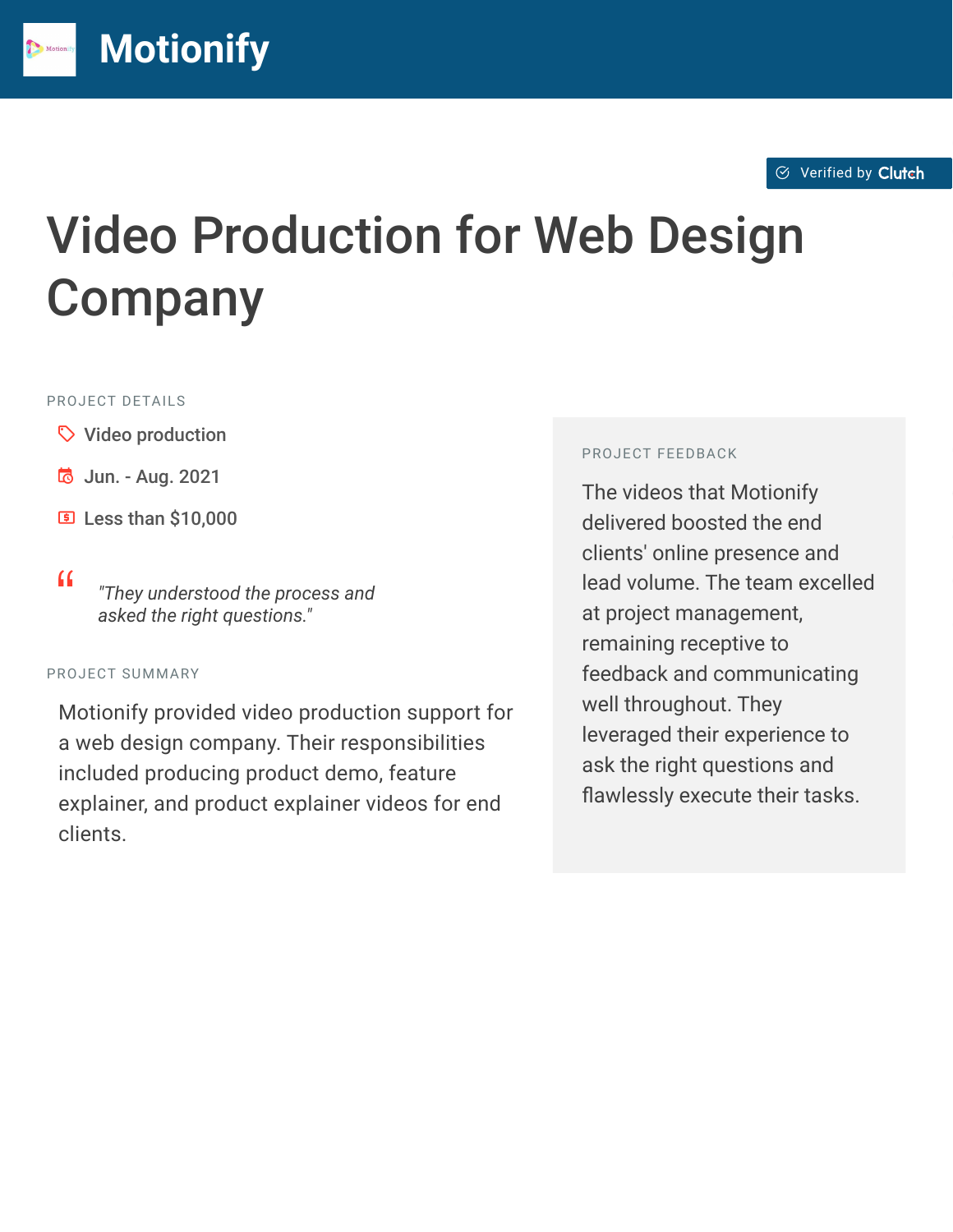$\otimes$  [Verified by](https://clutch.co?utm_source=case_studies&utm_medium=verified_by_clutch) Clutch

# Video Production for Web Design **Company**

#### PROJECT DETAILS

 $\heartsuit$  Video production

**[M](https://clutch.co/profile/motionify?utm_source=case_studies&utm_medium=logo)otionify**

- **B** Jun. Aug. 2021
- **E** Less than \$10,000
- <sup>D</sup> *"They understood the process and asked the right questions."*

#### PROJECT SUMMARY

Motionify provided video production support for a web design company. Their responsibilities included producing product demo, feature explainer, and product explainer videos for end clients.

#### PROJECT FEEDBACK

The videos that Motionify delivered boosted the end clients' online presence and lead volume. The team excelled at project management, remaining receptive to feedback and communicating well throughout. They leveraged their experience to ask the right questions and flawlessly execute their tasks.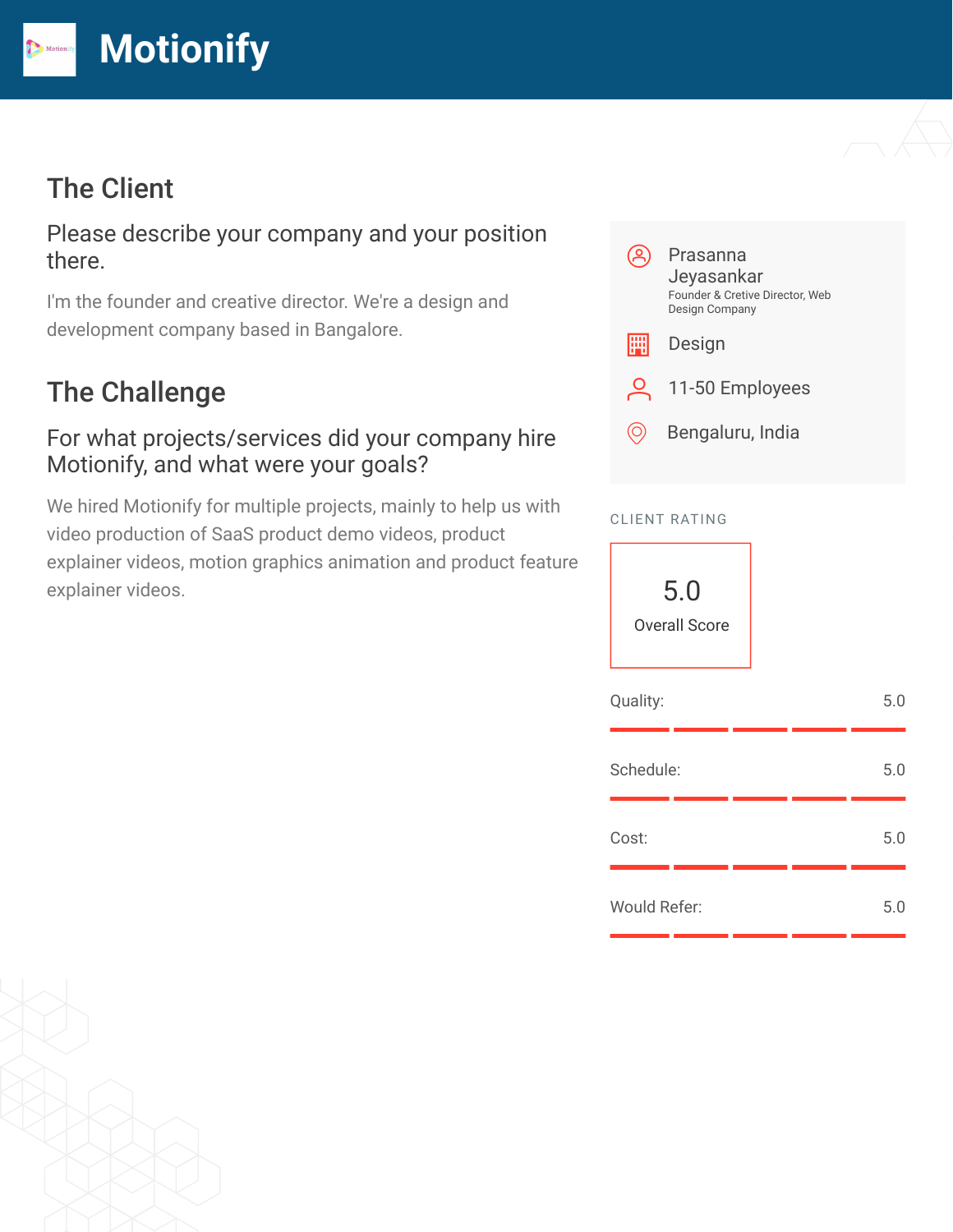

## The Client

Please describe your company and your position there.

I'm the founder and creative director. We're a design and development company based in Bangalore.

# The Challenge

#### For what projects/services did your company hire Motionify, and what were your goals?

We hired Motionify for multiple projects, mainly to help us with video production of SaaS product demo videos, product explainer videos, motion graphics animation and product feature explainer videos.



#### CLIENT RATING

| 5.0<br><b>Overall Score</b> |     |
|-----------------------------|-----|
| Quality:                    | 5.0 |
| Schedule:                   | 5.0 |
| Cost:                       | 5.0 |
| <b>Would Refer:</b>         | 5.0 |

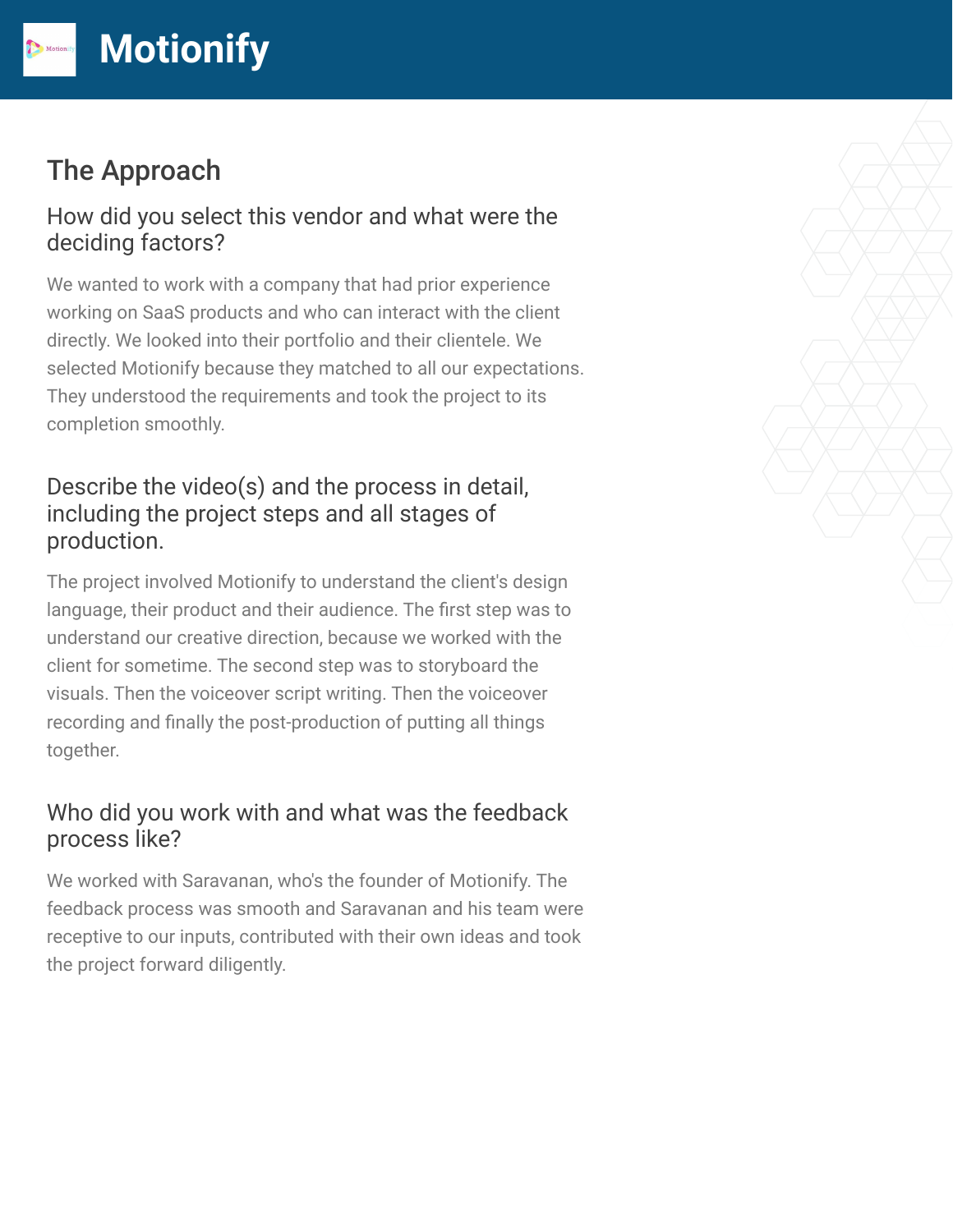# The Approach

#### How did you select this vendor and what were the deciding factors?

We wanted to work with a company that had prior experience working on SaaS products and who can interact with the client directly. We looked into their portfolio and their clientele. We selected Motionify because they matched to all our expectations. They understood the requirements and took the project to its completion smoothly.

## Describe the video(s) and the process in detail, including the project steps and all stages of production.

The project involved Motionify to understand the client's design language, their product and their audience. The first step was to understand our creative direction, because we worked with the client for sometime. The second step was to storyboard the visuals. Then the voiceover script writing. Then the voiceover recording and finally the post-production of putting all things together.

## Who did you work with and what was the feedback process like?

We worked with Saravanan, who's the founder of Motionify. The feedback process was smooth and Saravanan and his team were receptive to our inputs, contributed with their own ideas and took the project forward diligently.